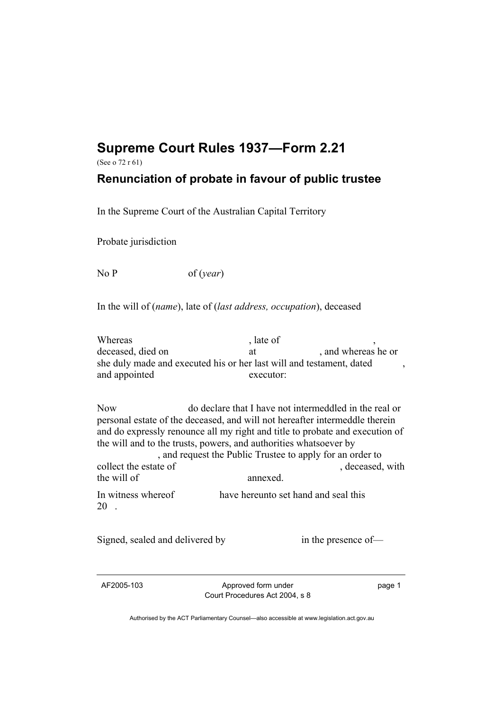## **Supreme Court Rules 1937—Form 2.21**

(See o 72 r 61)

## **Renunciation of probate in favour of public trustee**

In the Supreme Court of the Australian Capital Territory

Probate jurisdiction

No P of (*year*)

In the will of (*name*), late of (*last address, occupation*), deceased

Whereas , late of deceased, died on at the case of the deceased deceased on a and whereas he or she duly made and executed his or her last will and testament, dated and appointed executor:

Now do declare that I have not intermeddled in the real or personal estate of the deceased, and will not hereafter intermeddle therein and do expressly renounce all my right and title to probate and execution of the will and to the trusts, powers, and authorities whatsoever by

 , and request the Public Trustee to apply for an order to collect the estate of , deceased, with the will of annexed In witness whereof have hereunto set hand and seal this 20 .

Signed, sealed and delivered by in the presence of—

AF2005-103 Approved form under Court Procedures Act 2004, s 8 page 1

Authorised by the ACT Parliamentary Counsel—also accessible at www.legislation.act.gov.au